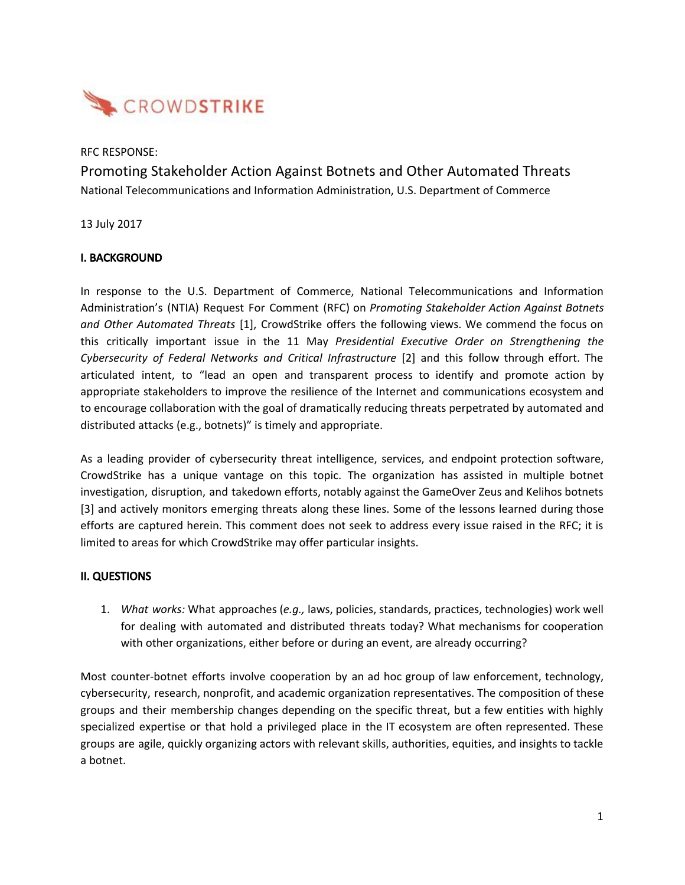

### RFC RESPONSE:

Promoting Stakeholder Action Against Botnets and Other Automated Threats National Telecommunications and Information Administration, U.S. Department of Commerce

13 July 2017

# I. BACKGROUND

In response to the U.S. Department of Commerce, National Telecommunications and Information Administration's (NTIA) Request For Comment (RFC) on *Promoting Stakeholder Action Against Botnets and Other Automated Threats* [1], CrowdStrike offers the following views. We commend the focus on this critically important issue in the 11 May *Presidential Executive Order on Strengthening the Cybersecurity of Federal Networks and Critical Infrastructure* [2] and this follow through effort. The articulated intent, to "lead an open and transparent process to identify and promote action by appropriate stakeholders to improve the resilience of the Internet and communications ecosystem and to encourage collaboration with the goal of dramatically reducing threats perpetrated by automated and distributed attacks (e.g., botnets)" is timely and appropriate.

As a leading provider of cybersecurity threat intelligence, services, and endpoint protection software, CrowdStrike has a unique vantage on this topic. The organization has assisted in multiple botnet investigation, disruption, and takedown efforts, notably against the GameOver Zeus and Kelihos botnets [3] and actively monitors emerging threats along these lines. Some of the lessons learned during those efforts are captured herein. This comment does not seek to address every issue raised in the RFC; it is limited to areas for which CrowdStrike may offer particular insights.

### II. QUESTIONS

1. *What works:* What approaches (*e.g.,* laws, policies, standards, practices, technologies) work well for dealing with automated and distributed threats today? What mechanisms for cooperation with other organizations, either before or during an event, are already occurring?

Most counter-botnet efforts involve cooperation by an ad hoc group of law enforcement, technology, cybersecurity, research, nonprofit, and academic organization representatives. The composition of these groups and their membership changes depending on the specific threat, but a few entities with highly specialized expertise or that hold a privileged place in the IT ecosystem are often represented. These groups are agile, quickly organizing actors with relevant skills, authorities, equities, and insights to tackle a botnet.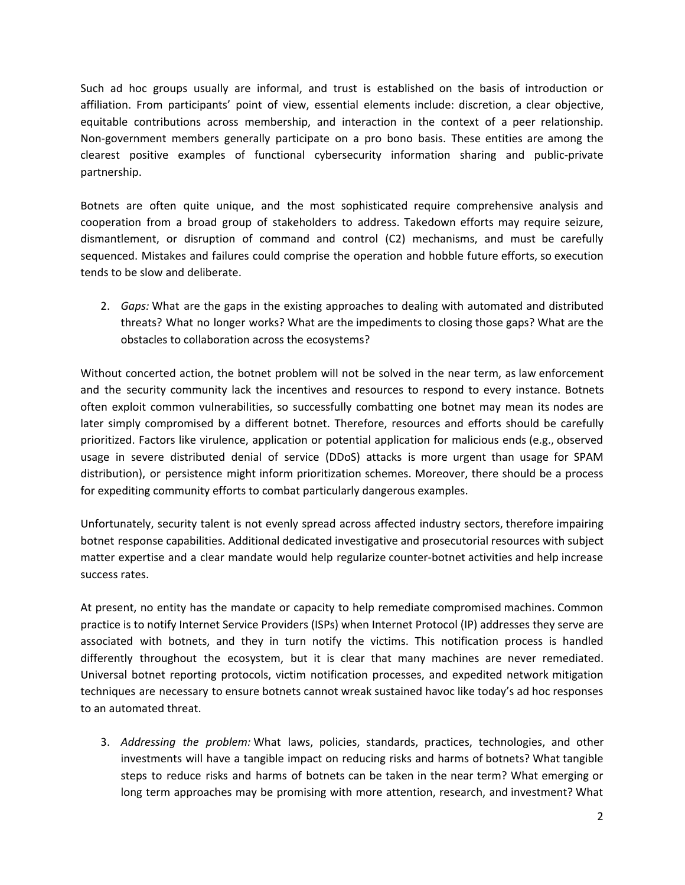Such ad hoc groups usually are informal, and trust is established on the basis of introduction or affiliation. From participants' point of view, essential elements include: discretion, a clear objective, equitable contributions across membership, and interaction in the context of a peer relationship. Non-government members generally participate on a pro bono basis. These entities are among the clearest positive examples of functional cybersecurity information sharing and public-private partnership.

Botnets are often quite unique, and the most sophisticated require comprehensive analysis and cooperation from a broad group of stakeholders to address. Takedown efforts may require seizure, dismantlement, or disruption of command and control (C2) mechanisms, and must be carefully sequenced. Mistakes and failures could comprise the operation and hobble future efforts, so execution tends to be slow and deliberate.

2. *Gaps:* What are the gaps in the existing approaches to dealing with automated and distributed threats? What no longer works? What are the impediments to closing those gaps? What are the obstacles to collaboration across the ecosystems?

Without concerted action, the botnet problem will not be solved in the near term, as law enforcement and the security community lack the incentives and resources to respond to every instance. Botnets often exploit common vulnerabilities, so successfully combatting one botnet may mean its nodes are later simply compromised by a different botnet. Therefore, resources and efforts should be carefully prioritized. Factors like virulence, application or potential application for malicious ends (e.g., observed usage in severe distributed denial of service (DDoS) attacks is more urgent than usage for SPAM distribution), or persistence might inform prioritization schemes. Moreover, there should be a process for expediting community efforts to combat particularly dangerous examples.

Unfortunately, security talent is not evenly spread across affected industry sectors, therefore impairing botnet response capabilities. Additional dedicated investigative and prosecutorial resources with subject matter expertise and a clear mandate would help regularize counter-botnet activities and help increase success rates.

At present, no entity has the mandate or capacity to help remediate compromised machines. Common practice is to notify Internet Service Providers (ISPs) when Internet Protocol (IP) addresses they serve are associated with botnets, and they in turn notify the victims. This notification process is handled differently throughout the ecosystem, but it is clear that many machines are never remediated. Universal botnet reporting protocols, victim notification processes, and expedited network mitigation techniques are necessary to ensure botnets cannot wreak sustained havoc like today's ad hoc responses to an automated threat.

3. *Addressing the problem:* What laws, policies, standards, practices, technologies, and other investments will have a tangible impact on reducing risks and harms of botnets? What tangible steps to reduce risks and harms of botnets can be taken in the near term? What emerging or long term approaches may be promising with more attention, research, and investment? What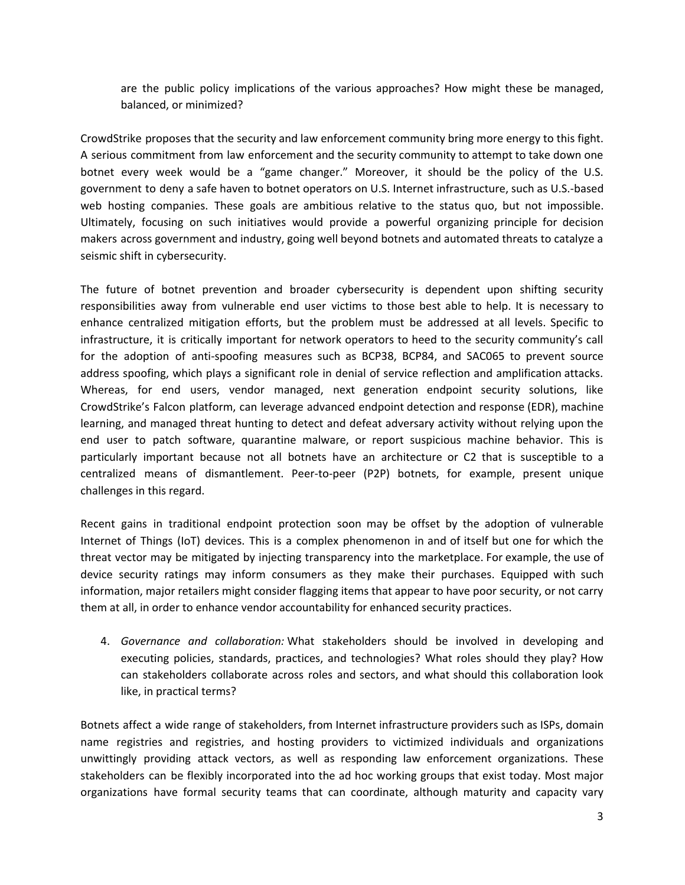are the public policy implications of the various approaches? How might these be managed, balanced, or minimized?

CrowdStrike proposes that the security and law enforcement community bring more energy to this fight. A serious commitment from law enforcement and the security community to attempt to take down one botnet every week would be a "game changer." Moreover, it should be the policy of the U.S. government to deny a safe haven to botnet operators on U.S. Internet infrastructure, such as U.S.-based web hosting companies. These goals are ambitious relative to the status quo, but not impossible. Ultimately, focusing on such initiatives would provide a powerful organizing principle for decision makers across government and industry, going well beyond botnets and automated threats to catalyze a seismic shift in cybersecurity.

The future of botnet prevention and broader cybersecurity is dependent upon shifting security responsibilities away from vulnerable end user victims to those best able to help. It is necessary to enhance centralized mitigation efforts, but the problem must be addressed at all levels. Specific to infrastructure, it is critically important for network operators to heed to the security community's call for the adoption of anti-spoofing measures such as BCP38, BCP84, and SAC065 to prevent source address spoofing, which plays a significant role in denial of service reflection and amplification attacks. Whereas, for end users, vendor managed, next generation endpoint security solutions, like CrowdStrike's Falcon platform, can leverage advanced endpoint detection and response (EDR), machine learning, and managed threat hunting to detect and defeat adversary activity without relying upon the end user to patch software, quarantine malware, or report suspicious machine behavior. This is particularly important because not all botnets have an architecture or C2 that is susceptible to a centralized means of dismantlement. Peer-to-peer (P2P) botnets, for example, present unique challenges in this regard.

Recent gains in traditional endpoint protection soon may be offset by the adoption of vulnerable Internet of Things (IoT) devices. This is a complex phenomenon in and of itself but one for which the threat vector may be mitigated by injecting transparency into the marketplace. For example, the use of device security ratings may inform consumers as they make their purchases. Equipped with such information, major retailers might consider flagging items that appear to have poor security, or not carry them at all, in order to enhance vendor accountability for enhanced security practices.

4. *Governance and collaboration:* What stakeholders should be involved in developing and executing policies, standards, practices, and technologies? What roles should they play? How can stakeholders collaborate across roles and sectors, and what should this collaboration look like, in practical terms?

Botnets affect a wide range of stakeholders, from Internet infrastructure providers such as ISPs, domain name registries and registries, and hosting providers to victimized individuals and organizations unwittingly providing attack vectors, as well as responding law enforcement organizations. These stakeholders can be flexibly incorporated into the ad hoc working groups that exist today. Most major organizations have formal security teams that can coordinate, although maturity and capacity vary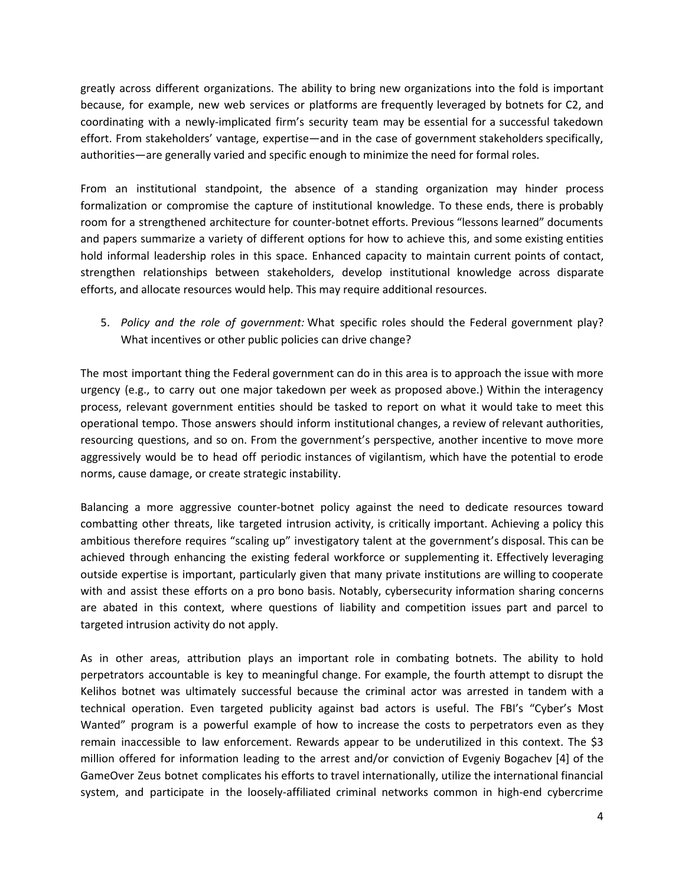greatly across different organizations. The ability to bring new organizations into the fold is important because, for example, new web services or platforms are frequently leveraged by botnets for C2, and coordinating with a newly-implicated firm's security team may be essential for a successful takedown effort. From stakeholders' vantage, expertise—and in the case of government stakeholders specifically, authorities—are generally varied and specific enough to minimize the need for formal roles.

From an institutional standpoint, the absence of a standing organization may hinder process formalization or compromise the capture of institutional knowledge. To these ends, there is probably room for a strengthened architecture for counter-botnet efforts. Previous "lessons learned" documents and papers summarize a variety of different options for how to achieve this, and some existing entities hold informal leadership roles in this space. Enhanced capacity to maintain current points of contact, strengthen relationships between stakeholders, develop institutional knowledge across disparate efforts, and allocate resources would help. This may require additional resources.

5. *Policy and the role of government:* What specific roles should the Federal government play? What incentives or other public policies can drive change?

The most important thing the Federal government can do in this area is to approach the issue with more urgency (e.g., to carry out one major takedown per week as proposed above.) Within the interagency process, relevant government entities should be tasked to report on what it would take to meet this operational tempo. Those answers should inform institutional changes, a review of relevant authorities, resourcing questions, and so on. From the government's perspective, another incentive to move more aggressively would be to head off periodic instances of vigilantism, which have the potential to erode norms, cause damage, or create strategic instability.

Balancing a more aggressive counter-botnet policy against the need to dedicate resources toward combatting other threats, like targeted intrusion activity, is critically important. Achieving a policy this ambitious therefore requires "scaling up" investigatory talent at the government's disposal. This can be achieved through enhancing the existing federal workforce or supplementing it. Effectively leveraging outside expertise is important, particularly given that many private institutions are willing to cooperate with and assist these efforts on a pro bono basis. Notably, cybersecurity information sharing concerns are abated in this context, where questions of liability and competition issues part and parcel to targeted intrusion activity do not apply.

As in other areas, attribution plays an important role in combating botnets. The ability to hold perpetrators accountable is key to meaningful change. For example, the fourth attempt to disrupt the Kelihos botnet was ultimately successful because the criminal actor was arrested in tandem with a technical operation. Even targeted publicity against bad actors is useful. The FBI's "Cyber's Most Wanted" program is a powerful example of how to increase the costs to perpetrators even as they remain inaccessible to law enforcement. Rewards appear to be underutilized in this context. The \$3 million offered for information leading to the arrest and/or conviction of Evgeniy Bogachev [4] of the GameOver Zeus botnet complicates his efforts to travel internationally, utilize the international financial system, and participate in the loosely-affiliated criminal networks common in high-end cybercrime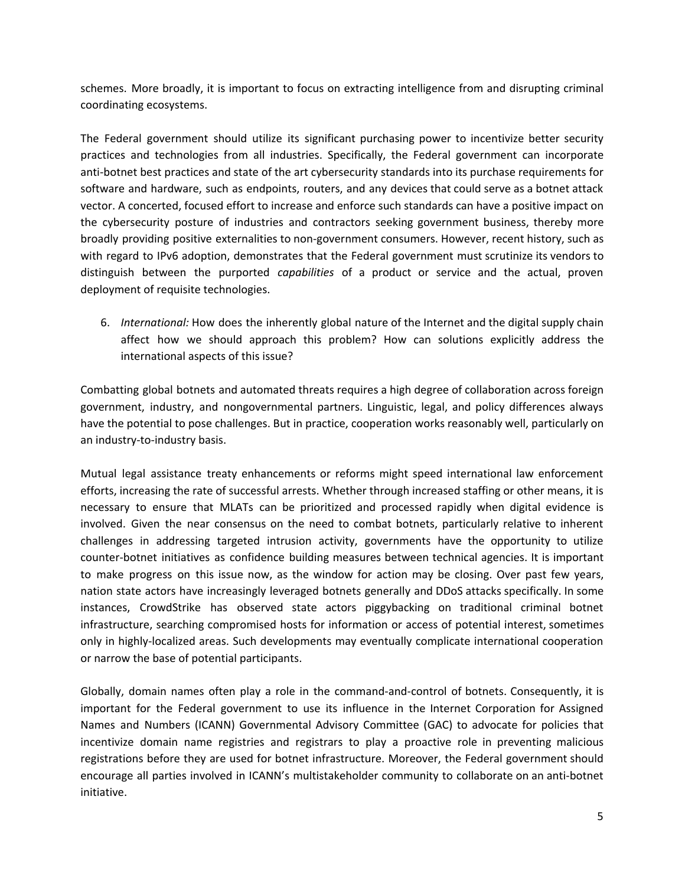schemes. More broadly, it is important to focus on extracting intelligence from and disrupting criminal coordinating ecosystems.

The Federal government should utilize its significant purchasing power to incentivize better security practices and technologies from all industries. Specifically, the Federal government can incorporate anti-botnet best practices and state of the art cybersecurity standards into its purchase requirements for software and hardware, such as endpoints, routers, and any devices that could serve as a botnet attack vector. A concerted, focused effort to increase and enforce such standards can have a positive impact on the cybersecurity posture of industries and contractors seeking government business, thereby more broadly providing positive externalities to non-government consumers. However, recent history, such as with regard to IPv6 adoption, demonstrates that the Federal government must scrutinize its vendors to distinguish between the purported *capabilities* of a product or service and the actual, proven deployment of requisite technologies.

6. *International:* How does the inherently global nature of the Internet and the digital supply chain affect how we should approach this problem? How can solutions explicitly address the international aspects of this issue?

Combatting global botnets and automated threats requires a high degree of collaboration across foreign government, industry, and nongovernmental partners. Linguistic, legal, and policy differences always have the potential to pose challenges. But in practice, cooperation works reasonably well, particularly on an industry-to-industry basis.

Mutual legal assistance treaty enhancements or reforms might speed international law enforcement efforts, increasing the rate of successful arrests. Whether through increased staffing or other means, it is necessary to ensure that MLATs can be prioritized and processed rapidly when digital evidence is involved. Given the near consensus on the need to combat botnets, particularly relative to inherent challenges in addressing targeted intrusion activity, governments have the opportunity to utilize counter-botnet initiatives as confidence building measures between technical agencies. It is important to make progress on this issue now, as the window for action may be closing. Over past few years, nation state actors have increasingly leveraged botnets generally and DDoS attacks specifically. In some instances, CrowdStrike has observed state actors piggybacking on traditional criminal botnet infrastructure, searching compromised hosts for information or access of potential interest, sometimes only in highly-localized areas. Such developments may eventually complicate international cooperation or narrow the base of potential participants.

Globally, domain names often play a role in the command-and-control of botnets. Consequently, it is important for the Federal government to use its influence in the Internet Corporation for Assigned Names and Numbers (ICANN) Governmental Advisory Committee (GAC) to advocate for policies that incentivize domain name registries and registrars to play a proactive role in preventing malicious registrations before they are used for botnet infrastructure. Moreover, the Federal government should encourage all parties involved in ICANN's multistakeholder community to collaborate on an anti-botnet initiative.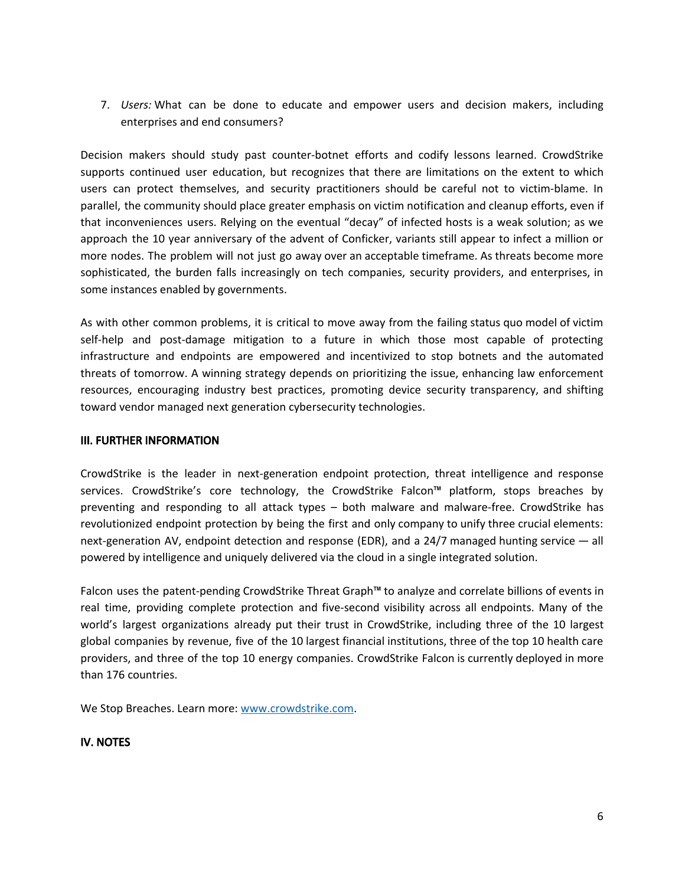7. *Users:* What can be done to educate and empower users and decision makers, including enterprises and end consumers?

Decision makers should study past counter-botnet efforts and codify lessons learned. CrowdStrike supports continued user education, but recognizes that there are limitations on the extent to which users can protect themselves, and security practitioners should be careful not to victim-blame. In parallel, the community should place greater emphasis on victim notification and cleanup efforts, even if that inconveniences users. Relying on the eventual "decay" of infected hosts is a weak solution; as we approach the 10 year anniversary of the advent of Conficker, variants still appear to infect a million or more nodes. The problem will not just go away over an acceptable timeframe. As threats become more sophisticated, the burden falls increasingly on tech companies, security providers, and enterprises, in some instances enabled by governments.

As with other common problems, it is critical to move away from the failing status quo model of victim self-help and post-damage mitigation to a future in which those most capable of protecting infrastructure and endpoints are empowered and incentivized to stop botnets and the automated threats of tomorrow. A winning strategy depends on prioritizing the issue, enhancing law enforcement resources, encouraging industry best practices, promoting device security transparency, and shifting toward vendor managed next generation cybersecurity technologies.

## III. FURTHER INFORMATION

CrowdStrike is the leader in next-generation endpoint protection, threat intelligence and response services. CrowdStrike's core technology, the CrowdStrike Falcon™ platform, stops breaches by preventing and responding to all attack types – both malware and malware-free. CrowdStrike has revolutionized endpoint protection by being the first and only company to unify three crucial elements: next-generation AV, endpoint detection and response (EDR), and a 24/7 managed hunting service — all powered by intelligence and uniquely delivered via the cloud in a single integrated solution.

Falcon uses the patent-pending CrowdStrike Threat Graph™ to analyze and correlate billions of events in real time, providing complete protection and five-second visibility across all endpoints. Many of the world's largest organizations already put their trust in CrowdStrike, including three of the 10 largest global companies by revenue, five of the 10 largest financial institutions, three of the top 10 health care providers, and three of the top 10 energy companies. CrowdStrike Falcon is currently deployed in more than 176 countries.

We Stop Breaches. Learn more: [www.crowdstrike.com](http://www.crowdstrike.com/).

### IV. NOTES